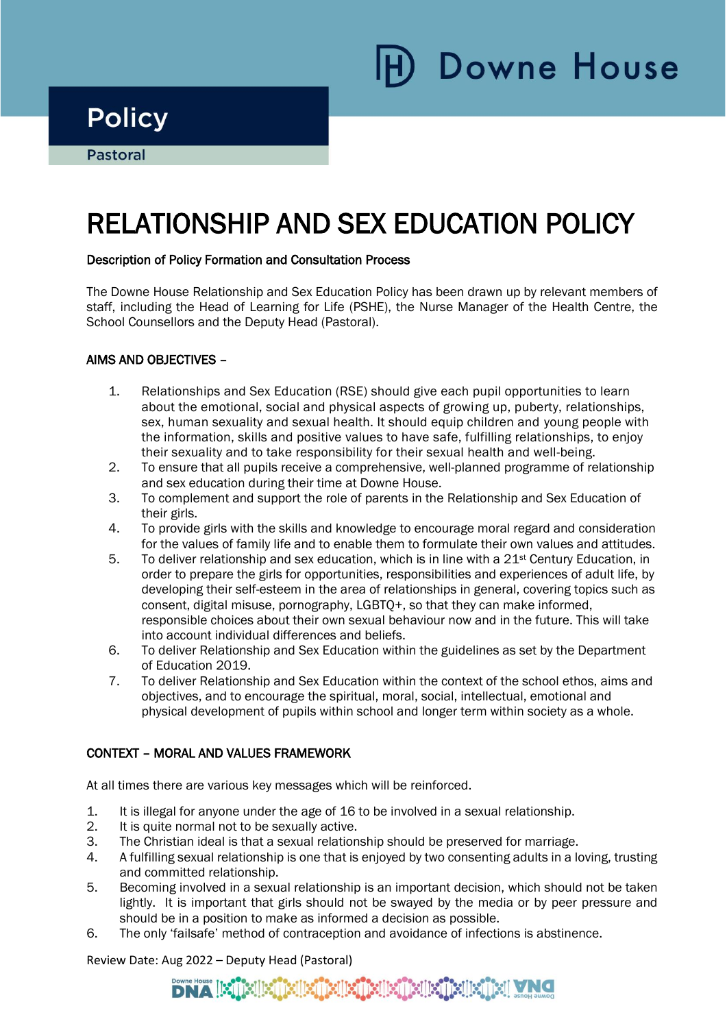Downe House

## **Policy**

i

# RELATIONSHIP AND SEX EDUCATION POLICY

### Description of Policy Formation and Consultation Process

The Downe House Relationship and Sex Education Policy has been drawn up by relevant members of staff, including the Head of Learning for Life (PSHE), the Nurse Manager of the Health Centre, the School Counsellors and the Deputy Head (Pastoral).

### AIMS AND OBJECTIVES –

- 1. Relationships and Sex Education (RSE) should give each pupil opportunities to learn about the emotional, social and physical aspects of growing up, puberty, relationships, sex, human sexuality and sexual health. It should equip children and young people with the information, skills and positive values to have safe, fulfilling relationships, to enjoy their sexuality and to take responsibility for their sexual health and well-being.
- 2. To ensure that all pupils receive a comprehensive, well-planned programme of relationship and sex education during their time at Downe House.
- 3. To complement and support the role of parents in the Relationship and Sex Education of their girls.
- 4. To provide girls with the skills and knowledge to encourage moral regard and consideration for the values of family life and to enable them to formulate their own values and attitudes.
- 5. To deliver relationship and sex education, which is in line with a  $21<sup>st</sup>$  Century Education, in order to prepare the girls for opportunities, responsibilities and experiences of adult life, by developing their self-esteem in the area of relationships in general, covering topics such as consent, digital misuse, pornography, LGBTQ+, so that they can make informed, responsible choices about their own sexual behaviour now and in the future. This will take into account individual differences and beliefs.
- 6. To deliver Relationship and Sex Education within the guidelines as set by the Department of Education 2019.
- 7. To deliver Relationship and Sex Education within the context of the school ethos, aims and objectives, and to encourage the spiritual, moral, social, intellectual, emotional and physical development of pupils within school and longer term within society as a whole.

### CONTEXT – MORAL AND VALUES FRAMEWORK

At all times there are various key messages which will be reinforced.

- 1. It is illegal for anyone under the age of 16 to be involved in a sexual relationship.
- 2. It is quite normal not to be sexually active.
- 3. The Christian ideal is that a sexual relationship should be preserved for marriage.
- 4. A fulfilling sexual relationship is one that is enjoyed by two consenting adults in a loving, trusting and committed relationship.
- 5. Becoming involved in a sexual relationship is an important decision, which should not be taken lightly. It is important that girls should not be swayed by the media or by peer pressure and should be in a position to make as informed a decision as possible.
- 6. The only 'failsafe' method of contraception and avoidance of infections is abstinence.

Review Date: Aug 2022 – Deputy Head (Pastoral)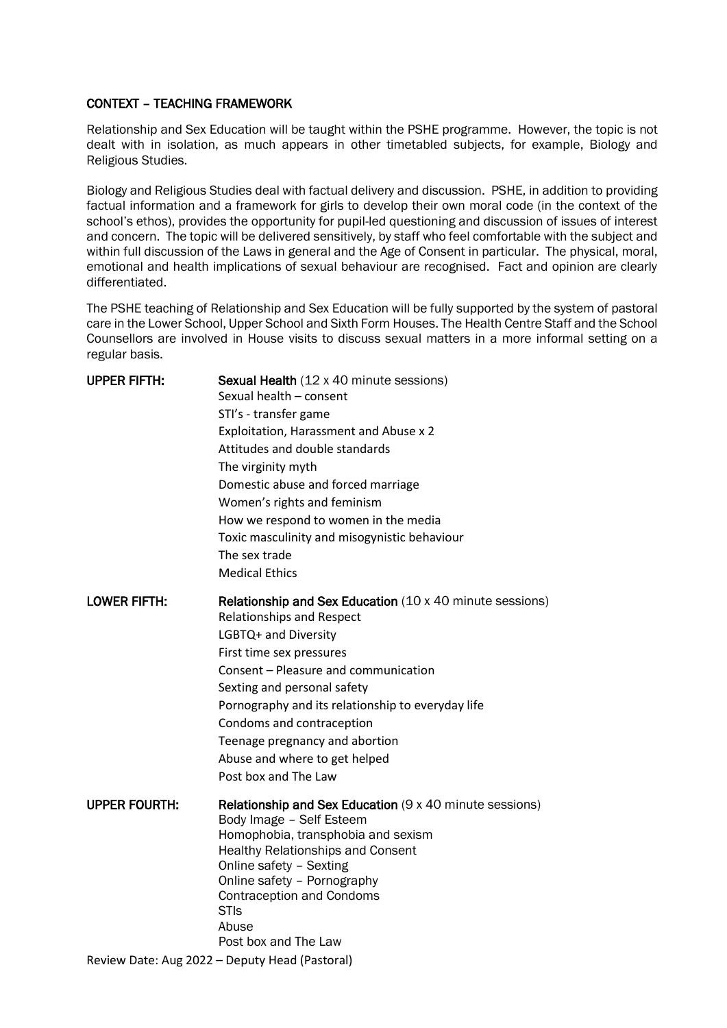#### CONTEXT – TEACHING FRAMEWORK

Relationship and Sex Education will be taught within the PSHE programme. However, the topic is not dealt with in isolation, as much appears in other timetabled subjects, for example, Biology and Religious Studies.

Biology and Religious Studies deal with factual delivery and discussion. PSHE, in addition to providing factual information and a framework for girls to develop their own moral code (in the context of the school's ethos), provides the opportunity for pupil-led questioning and discussion of issues of interest and concern. The topic will be delivered sensitively, by staff who feel comfortable with the subject and within full discussion of the Laws in general and the Age of Consent in particular. The physical, moral, emotional and health implications of sexual behaviour are recognised. Fact and opinion are clearly differentiated.

The PSHE teaching of Relationship and Sex Education will be fully supported by the system of pastoral care in the Lower School, Upper School and Sixth Form Houses. The Health Centre Staff and the School Counsellors are involved in House visits to discuss sexual matters in a more informal setting on a regular basis.

| <b>UPPER FIFTH:</b>  | Sexual Health (12 x 40 minute sessions)<br>Sexual health - consent<br>STI's - transfer game<br>Exploitation, Harassment and Abuse x 2<br>Attitudes and double standards<br>The virginity myth<br>Domestic abuse and forced marriage<br>Women's rights and feminism<br>How we respond to women in the media<br>Toxic masculinity and misogynistic behaviour<br>The sex trade<br><b>Medical Ethics</b>        |
|----------------------|-------------------------------------------------------------------------------------------------------------------------------------------------------------------------------------------------------------------------------------------------------------------------------------------------------------------------------------------------------------------------------------------------------------|
| <b>LOWER FIFTH:</b>  | <b>Relationship and Sex Education</b> (10 x 40 minute sessions)<br><b>Relationships and Respect</b><br>LGBTQ+ and Diversity<br>First time sex pressures<br>Consent - Pleasure and communication<br>Sexting and personal safety<br>Pornography and its relationship to everyday life<br>Condoms and contraception<br>Teenage pregnancy and abortion<br>Abuse and where to get helped<br>Post box and The Law |
| <b>UPPER FOURTH:</b> | <b>Relationship and Sex Education (9 x 40 minute sessions)</b><br>Body Image - Self Esteem<br>Homophobia, transphobia and sexism<br><b>Healthy Relationships and Consent</b><br>Online safety - Sexting<br>Online safety - Pornography<br><b>Contraception and Condoms</b><br><b>STIs</b><br>Abuse<br>Post box and The Law                                                                                  |
|                      | Review Date: Aug 2022 - Deputy Head (Pastoral)                                                                                                                                                                                                                                                                                                                                                              |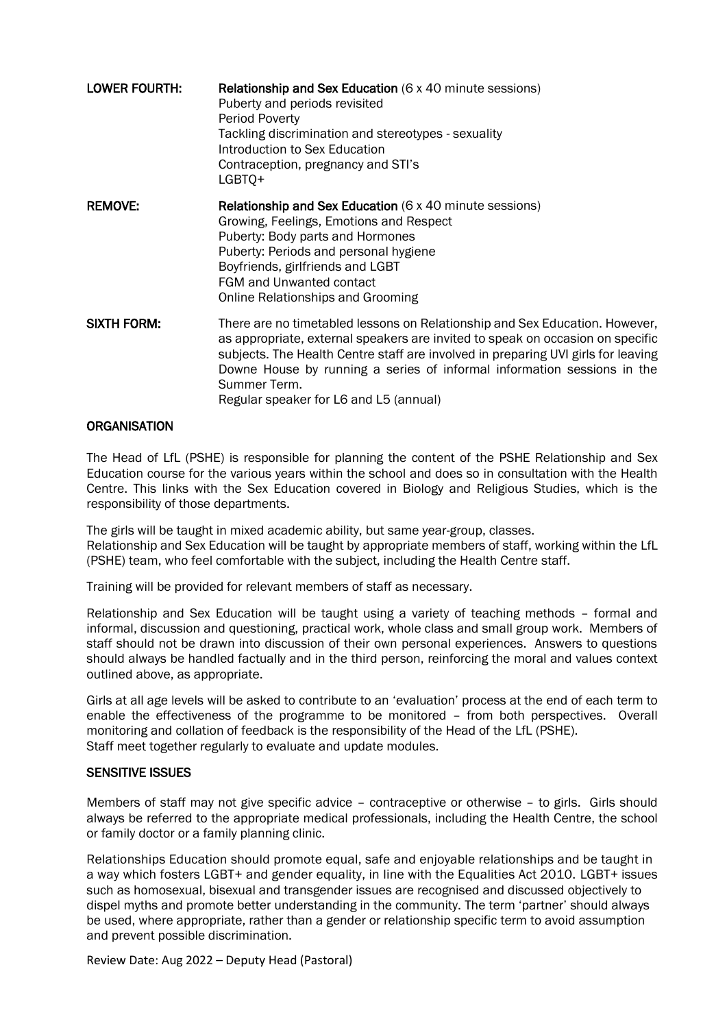| <b>LOWER FOURTH:</b> | <b>Relationship and Sex Education (6 x 40 minute sessions)</b><br>Puberty and periods revisited<br>Period Poverty<br>Tackling discrimination and stereotypes - sexuality<br>Introduction to Sex Education<br>Contraception, pregnancy and STI's<br>LGBTQ+                                                                                                                               |  |
|----------------------|-----------------------------------------------------------------------------------------------------------------------------------------------------------------------------------------------------------------------------------------------------------------------------------------------------------------------------------------------------------------------------------------|--|
| <b>REMOVE:</b>       | <b>Relationship and Sex Education (6 x 40 minute sessions)</b><br>Growing, Feelings, Emotions and Respect<br>Puberty: Body parts and Hormones<br>Puberty: Periods and personal hygiene<br>Boyfriends, girlfriends and LGBT<br>FGM and Unwanted contact<br>Online Relationships and Grooming                                                                                             |  |
| <b>SIXTH FORM:</b>   | There are no timetabled lessons on Relationship and Sex Education. However,<br>as appropriate, external speakers are invited to speak on occasion on specific<br>subjects. The Health Centre staff are involved in preparing UVI girls for leaving<br>Downe House by running a series of informal information sessions in the<br>Summer Term.<br>Regular speaker for L6 and L5 (annual) |  |

#### **ORGANISATION**

The Head of LfL (PSHE) is responsible for planning the content of the PSHE Relationship and Sex Education course for the various years within the school and does so in consultation with the Health Centre. This links with the Sex Education covered in Biology and Religious Studies, which is the responsibility of those departments.

The girls will be taught in mixed academic ability, but same year-group, classes. Relationship and Sex Education will be taught by appropriate members of staff, working within the LfL (PSHE) team, who feel comfortable with the subject, including the Health Centre staff.

Training will be provided for relevant members of staff as necessary.

Relationship and Sex Education will be taught using a variety of teaching methods – formal and informal, discussion and questioning, practical work, whole class and small group work. Members of staff should not be drawn into discussion of their own personal experiences. Answers to questions should always be handled factually and in the third person, reinforcing the moral and values context outlined above, as appropriate.

Girls at all age levels will be asked to contribute to an 'evaluation' process at the end of each term to enable the effectiveness of the programme to be monitored – from both perspectives. Overall monitoring and collation of feedback is the responsibility of the Head of the LfL (PSHE). Staff meet together regularly to evaluate and update modules.

#### SENSITIVE ISSUES

Members of staff may not give specific advice – contraceptive or otherwise – to girls. Girls should always be referred to the appropriate medical professionals, including the Health Centre, the school or family doctor or a family planning clinic.

Relationships Education should promote equal, safe and enjoyable relationships and be taught in a way which fosters LGBT+ and gender equality, in line with the Equalities Act 2010. LGBT+ issues such as homosexual, bisexual and transgender issues are recognised and discussed objectively to dispel myths and promote better understanding in the community. The term 'partner' should always be used, where appropriate, rather than a gender or relationship specific term to avoid assumption and prevent possible discrimination.

Review Date: Aug 2022 – Deputy Head (Pastoral)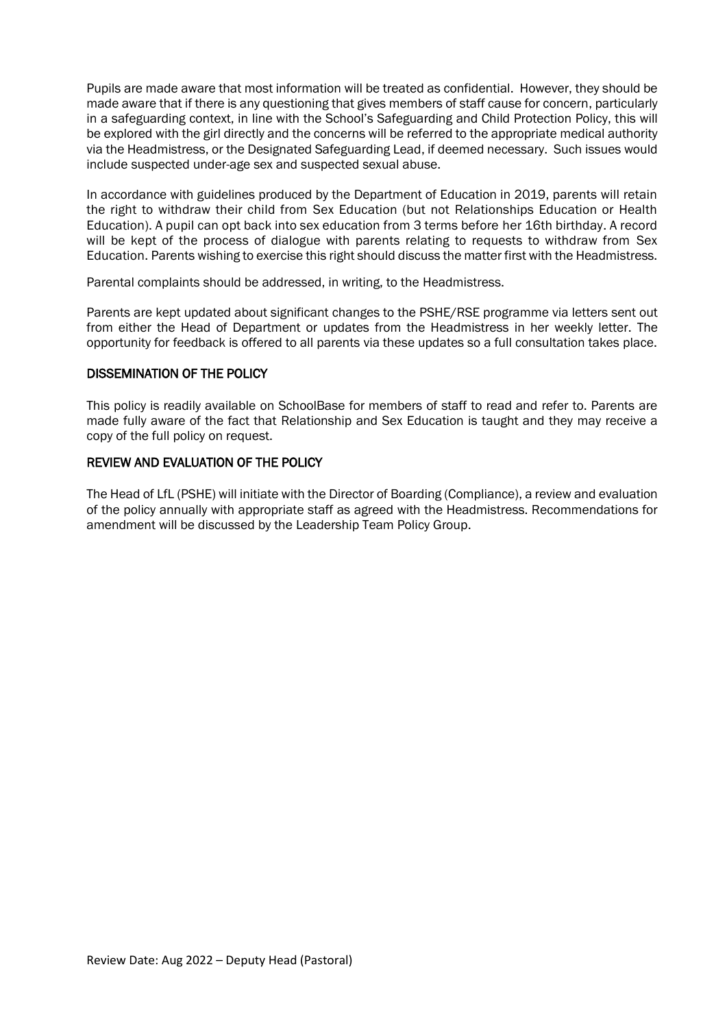Pupils are made aware that most information will be treated as confidential. However, they should be made aware that if there is any questioning that gives members of staff cause for concern, particularly in a safeguarding context, in line with the School's Safeguarding and Child Protection Policy, this will be explored with the girl directly and the concerns will be referred to the appropriate medical authority via the Headmistress, or the Designated Safeguarding Lead, if deemed necessary. Such issues would include suspected under-age sex and suspected sexual abuse.

In accordance with guidelines produced by the Department of Education in 2019, parents will retain the right to withdraw their child from Sex Education (but not Relationships Education or Health Education). A pupil can opt back into sex education from 3 terms before her 16th birthday. A record will be kept of the process of dialogue with parents relating to requests to withdraw from Sex Education. Parents wishing to exercise this right should discuss the matter first with the Headmistress.

Parental complaints should be addressed, in writing, to the Headmistress.

Parents are kept updated about significant changes to the PSHE/RSE programme via letters sent out from either the Head of Department or updates from the Headmistress in her weekly letter. The opportunity for feedback is offered to all parents via these updates so a full consultation takes place.

#### DISSEMINATION OF THE POLICY

This policy is readily available on SchoolBase for members of staff to read and refer to. Parents are made fully aware of the fact that Relationship and Sex Education is taught and they may receive a copy of the full policy on request.

#### REVIEW AND EVALUATION OF THE POLICY

The Head of LfL (PSHE) will initiate with the Director of Boarding (Compliance), a review and evaluation of the policy annually with appropriate staff as agreed with the Headmistress. Recommendations for amendment will be discussed by the Leadership Team Policy Group.